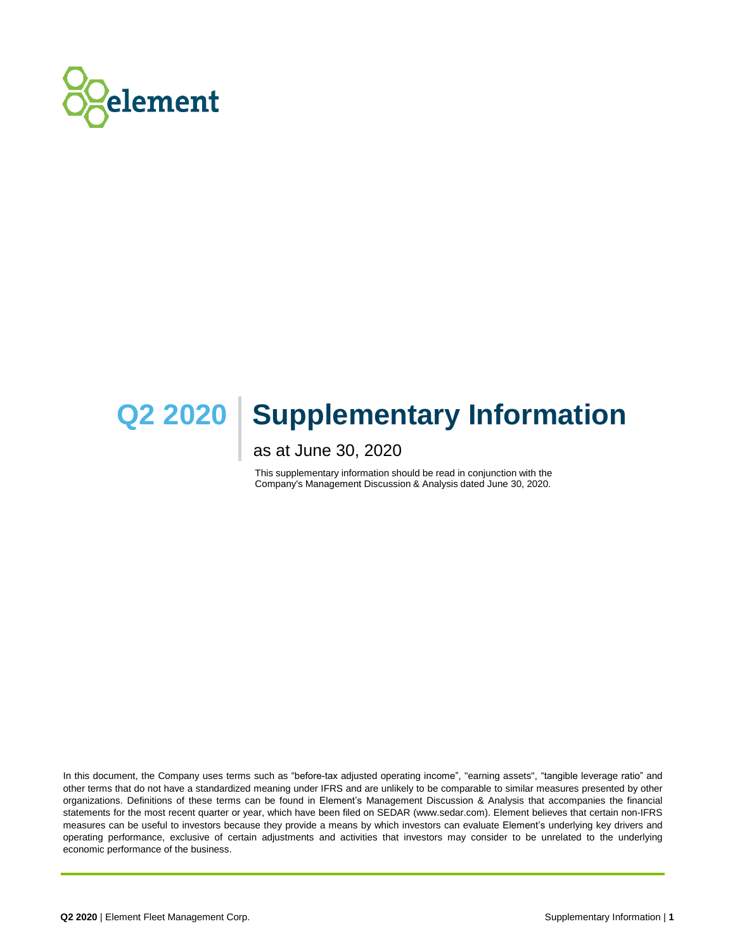

# **Q2 2020 Supplementary Information**

# as at June 30, 2020

This supplementary information should be read in conjunction with the Company's Management Discussion & Analysis dated June 30, 2020.

In this document, the Company uses terms such as "before-tax adjusted operating income", "earning assets", "tangible leverage ratio" and other terms that do not have a standardized meaning under IFRS and are unlikely to be comparable to similar measures presented by other organizations. Definitions of these terms can be found in Element's Management Discussion & Analysis that accompanies the financial statements for the most recent quarter or year, which have been filed on SEDAR (www.sedar.com). Element believes that certain non-IFRS measures can be useful to investors because they provide a means by which investors can evaluate Element's underlying key drivers and operating performance, exclusive of certain adjustments and activities that investors may consider to be unrelated to the underlying economic performance of the business.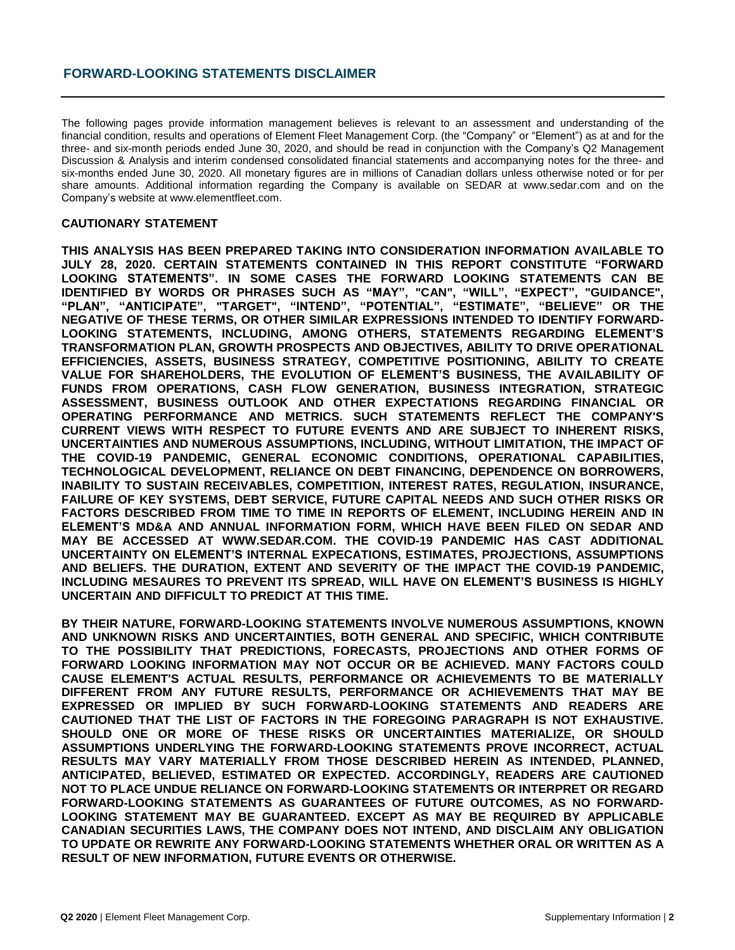The following pages provide information management believes is relevant to an assessment and understanding of the financial condition, results and operations of Element Fleet Management Corp. (the "Company" or "Element") as at and for the three- and six-month periods ended June 30, 2020, and should be read in conjunction with the Company's Q2 Management Discussion & Analysis and interim condensed consolidated financial statements and accompanying notes for the three- and six-months ended June 30, 2020. All monetary figures are in millions of Canadian dollars unless otherwise noted or for per share amounts. Additional information regarding the Company is available on SEDAR at www.sedar.com and on the Company's website at www.elementfleet.com.

### **CAUTIONARY STATEMENT**

**THIS ANALYSIS HAS BEEN PREPARED TAKING INTO CONSIDERATION INFORMATION AVAILABLE TO JULY 28, 2020. CERTAIN STATEMENTS CONTAINED IN THIS REPORT CONSTITUTE "FORWARD LOOKING STATEMENTS". IN SOME CASES THE FORWARD LOOKING STATEMENTS CAN BE IDENTIFIED BY WORDS OR PHRASES SUCH AS "MAY", "CAN", "WILL", "EXPECT", "GUIDANCE", "PLAN", "ANTICIPATE", "TARGET", "INTEND", "POTENTIAL", "ESTIMATE", "BELIEVE" OR THE NEGATIVE OF THESE TERMS, OR OTHER SIMILAR EXPRESSIONS INTENDED TO IDENTIFY FORWARD-LOOKING STATEMENTS, INCLUDING, AMONG OTHERS, STATEMENTS REGARDING ELEMENT'S TRANSFORMATION PLAN, GROWTH PROSPECTS AND OBJECTIVES, ABILITY TO DRIVE OPERATIONAL EFFICIENCIES, ASSETS, BUSINESS STRATEGY, COMPETITIVE POSITIONING, ABILITY TO CREATE VALUE FOR SHAREHOLDERS, THE EVOLUTION OF ELEMENT'S BUSINESS, THE AVAILABILITY OF FUNDS FROM OPERATIONS, CASH FLOW GENERATION, BUSINESS INTEGRATION, STRATEGIC ASSESSMENT, BUSINESS OUTLOOK AND OTHER EXPECTATIONS REGARDING FINANCIAL OR OPERATING PERFORMANCE AND METRICS. SUCH STATEMENTS REFLECT THE COMPANY'S CURRENT VIEWS WITH RESPECT TO FUTURE EVENTS AND ARE SUBJECT TO INHERENT RISKS, UNCERTAINTIES AND NUMEROUS ASSUMPTIONS, INCLUDING, WITHOUT LIMITATION, THE IMPACT OF THE COVID-19 PANDEMIC, GENERAL ECONOMIC CONDITIONS, OPERATIONAL CAPABILITIES, TECHNOLOGICAL DEVELOPMENT, RELIANCE ON DEBT FINANCING, DEPENDENCE ON BORROWERS, INABILITY TO SUSTAIN RECEIVABLES, COMPETITION, INTEREST RATES, REGULATION, INSURANCE, FAILURE OF KEY SYSTEMS, DEBT SERVICE, FUTURE CAPITAL NEEDS AND SUCH OTHER RISKS OR FACTORS DESCRIBED FROM TIME TO TIME IN REPORTS OF ELEMENT, INCLUDING HEREIN AND IN ELEMENT'S MD&A AND ANNUAL INFORMATION FORM, WHICH HAVE BEEN FILED ON SEDAR AND MAY BE ACCESSED AT WWW.SEDAR.COM. THE COVID-19 PANDEMIC HAS CAST ADDITIONAL UNCERTAINTY ON ELEMENT'S INTERNAL EXPECATIONS, ESTIMATES, PROJECTIONS, ASSUMPTIONS AND BELIEFS. THE DURATION, EXTENT AND SEVERITY OF THE IMPACT THE COVID-19 PANDEMIC, INCLUDING MESAURES TO PREVENT ITS SPREAD, WILL HAVE ON ELEMENT'S BUSINESS IS HIGHLY UNCERTAIN AND DIFFICULT TO PREDICT AT THIS TIME.**

**BY THEIR NATURE, FORWARD-LOOKING STATEMENTS INVOLVE NUMEROUS ASSUMPTIONS, KNOWN AND UNKNOWN RISKS AND UNCERTAINTIES, BOTH GENERAL AND SPECIFIC, WHICH CONTRIBUTE TO THE POSSIBILITY THAT PREDICTIONS, FORECASTS, PROJECTIONS AND OTHER FORMS OF FORWARD LOOKING INFORMATION MAY NOT OCCUR OR BE ACHIEVED. MANY FACTORS COULD CAUSE ELEMENT'S ACTUAL RESULTS, PERFORMANCE OR ACHIEVEMENTS TO BE MATERIALLY DIFFERENT FROM ANY FUTURE RESULTS, PERFORMANCE OR ACHIEVEMENTS THAT MAY BE EXPRESSED OR IMPLIED BY SUCH FORWARD-LOOKING STATEMENTS AND READERS ARE CAUTIONED THAT THE LIST OF FACTORS IN THE FOREGOING PARAGRAPH IS NOT EXHAUSTIVE. SHOULD ONE OR MORE OF THESE RISKS OR UNCERTAINTIES MATERIALIZE, OR SHOULD ASSUMPTIONS UNDERLYING THE FORWARD-LOOKING STATEMENTS PROVE INCORRECT, ACTUAL RESULTS MAY VARY MATERIALLY FROM THOSE DESCRIBED HEREIN AS INTENDED, PLANNED, ANTICIPATED, BELIEVED, ESTIMATED OR EXPECTED. ACCORDINGLY, READERS ARE CAUTIONED NOT TO PLACE UNDUE RELIANCE ON FORWARD-LOOKING STATEMENTS OR INTERPRET OR REGARD FORWARD-LOOKING STATEMENTS AS GUARANTEES OF FUTURE OUTCOMES, AS NO FORWARD-LOOKING STATEMENT MAY BE GUARANTEED. EXCEPT AS MAY BE REQUIRED BY APPLICABLE CANADIAN SECURITIES LAWS, THE COMPANY DOES NOT INTEND, AND DISCLAIM ANY OBLIGATION TO UPDATE OR REWRITE ANY FORWARD-LOOKING STATEMENTS WHETHER ORAL OR WRITTEN AS A RESULT OF NEW INFORMATION, FUTURE EVENTS OR OTHERWISE.**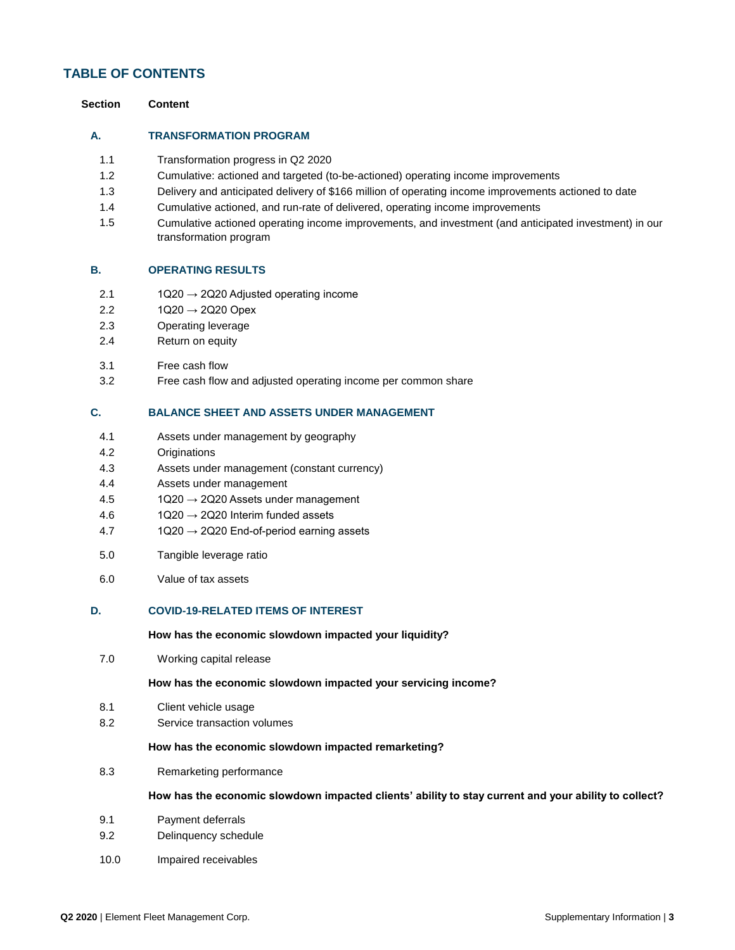# **TABLE OF CONTENTS**

| Content |
|---------|
|         |

### **A. TRANSFORMATION PROGRAM**

- 1.1 Transformation progress in Q2 2020
- 1.2 Cumulative: actioned and targeted (to-be-actioned) operating income improvements
- 1.3 Delivery and anticipated delivery of \$166 million of operating income improvements actioned to date
- 1.4 Cumulative actioned, and run-rate of delivered, operating income improvements
- 1.5 Cumulative actioned operating income improvements, and investment (and anticipated investment) in our transformation program

### **B. OPERATING RESULTS**

- 2.1  $1Q20 \rightarrow 2Q20$  Adjusted operating income
- 2.2  $1Q20 \rightarrow 2Q20$  Opex
- 2.3 Operating leverage
- 2.4 Return on equity
- 3.1 Free cash flow
- 3.2 Free cash flow and adjusted operating income per common share

### **C. BALANCE SHEET AND ASSETS UNDER MANAGEMENT**

- 4.1 Assets under management by geography
- 4.2 Originations
- 4.3 Assets under management (constant currency)
- 4.4 Assets under management
- $4.5$  1Q20  $\rightarrow$  2Q20 Assets under management
- 4.6  $1Q20 \rightarrow 2Q20$  Interim funded assets
- $4.7$  1Q20  $\rightarrow$  2Q20 End-of-period earning assets
- 5.0 Tangible leverage ratio
- 6.0 Value of tax assets

### **D. COVID-19-RELATED ITEMS OF INTEREST**

### **How has the economic slowdown impacted your liquidity?**

7.0 Working capital release

### **How has the economic slowdown impacted your servicing income?**

- 8.1 Client vehicle usage
- 8.2 Service transaction volumes

### **How has the economic slowdown impacted remarketing?**

8.3 Remarketing performance

### **How has the economic slowdown impacted clients' ability to stay current and your ability to collect?**

- 9.1 Payment deferrals
- 9.2 Delinquency schedule
- 10.0 Impaired receivables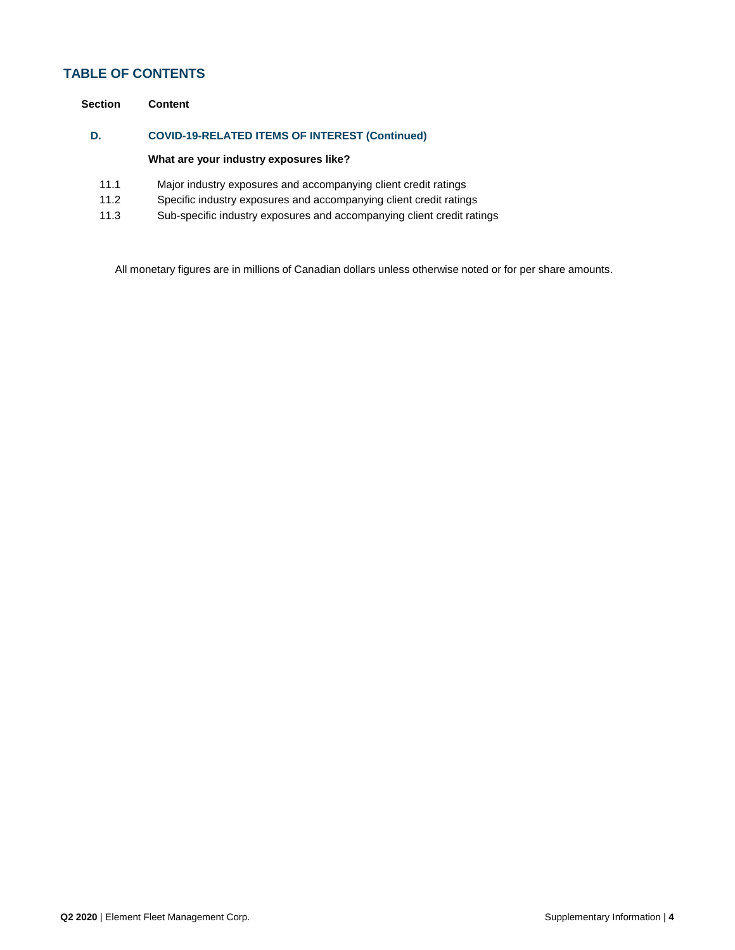# **TABLE OF CONTENTS**

| Section | Content                                               |
|---------|-------------------------------------------------------|
| D.      | <b>COVID-19-RELATED ITEMS OF INTEREST (Continued)</b> |
|         |                                                       |

# **What are your industry exposures like?**

- 11.1 Major industry exposures and accompanying client credit ratings
- 11.2 Specific industry exposures and accompanying client credit ratings
- 11.3 Sub-specific industry exposures and accompanying client credit ratings

All monetary figures are in millions of Canadian dollars unless otherwise noted or for per share amounts.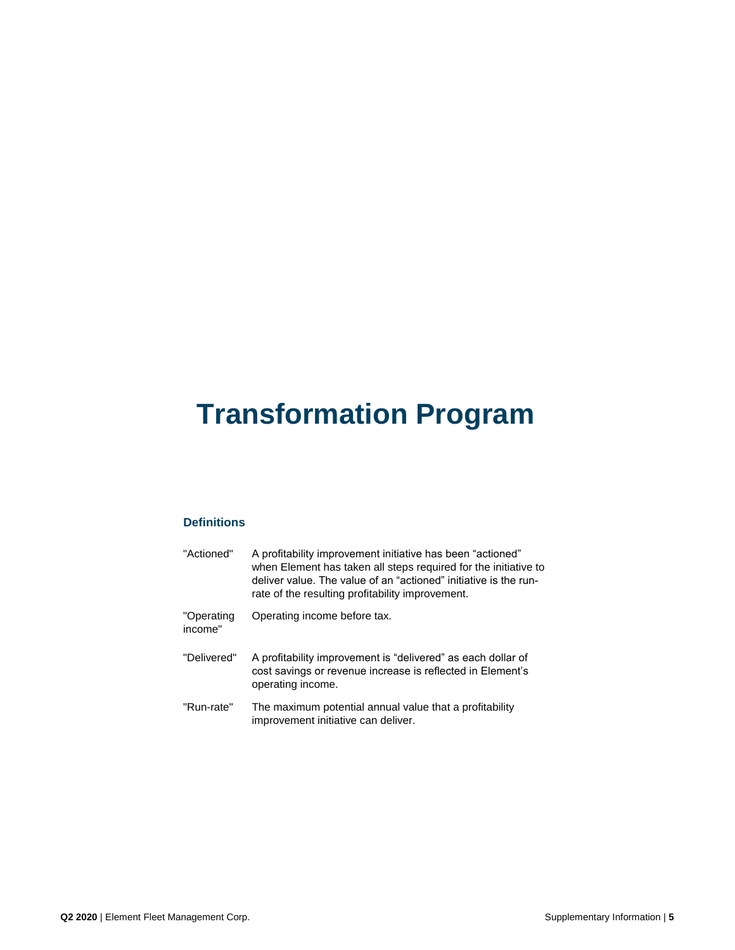# **Transformation Program**

# **Definitions**

| "Actioned"            | A profitability improvement initiative has been "actioned"<br>when Element has taken all steps required for the initiative to<br>deliver value. The value of an "actioned" initiative is the run-<br>rate of the resulting profitability improvement. |
|-----------------------|-------------------------------------------------------------------------------------------------------------------------------------------------------------------------------------------------------------------------------------------------------|
| "Operating<br>income" | Operating income before tax.                                                                                                                                                                                                                          |
| "Delivered"           | A profitability improvement is "delivered" as each dollar of<br>cost savings or revenue increase is reflected in Element's<br>operating income.                                                                                                       |
| "Run-rate"            | The maximum potential annual value that a profitability<br>improvement initiative can deliver.                                                                                                                                                        |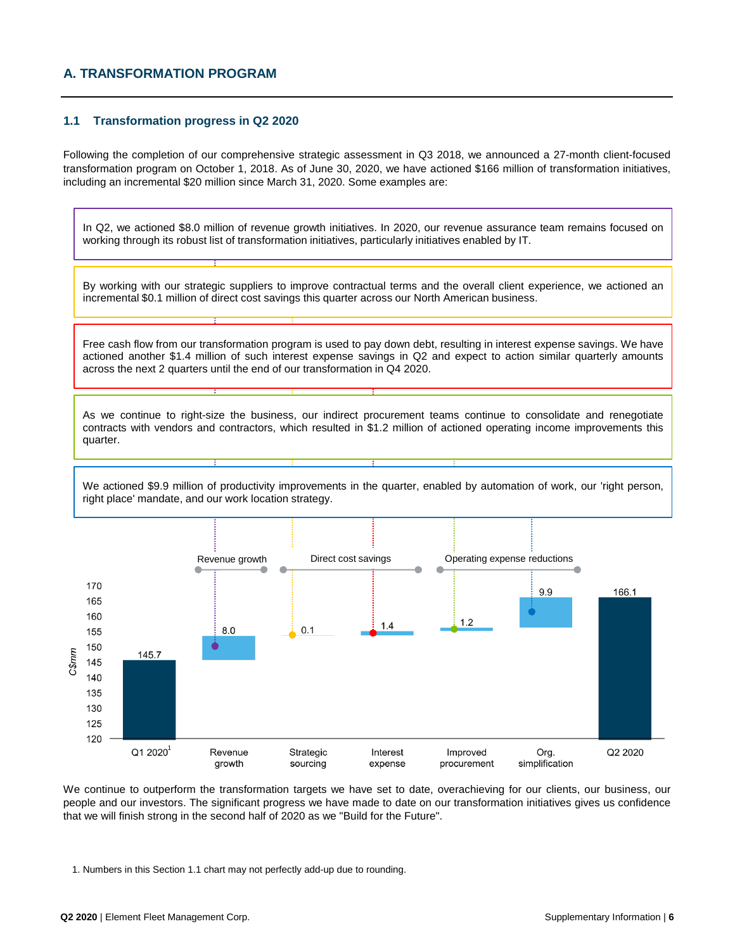# **A. TRANSFORMATION PROGRAM**

### **1.1 Transformation progress in Q2 2020**

Following the completion of our comprehensive strategic assessment in Q3 2018, we announced a 27-month client-focused transformation program on October 1, 2018. As of June 30, 2020, we have actioned \$166 million of transformation initiatives, including an incremental \$20 million since March 31, 2020. Some examples are:

In Q2, we actioned \$8.0 million of revenue growth initiatives. In 2020, our revenue assurance team remains focused on working through its robust list of transformation initiatives, particularly initiatives enabled by IT.

By working with our strategic suppliers to improve contractual terms and the overall client experience, we actioned an incremental \$0.1 million of direct cost savings this quarter across our North American business.

Free cash flow from our transformation program is used to pay down debt, resulting in interest expense savings. We have actioned another \$1.4 million of such interest expense savings in Q2 and expect to action similar quarterly amounts across the next 2 quarters until the end of our transformation in Q4 2020.

As we continue to right-size the business, our indirect procurement teams continue to consolidate and renegotiate contracts with vendors and contractors, which resulted in \$1.2 million of actioned operating income improvements this quarter.

We actioned \$9.9 million of productivity improvements in the quarter, enabled by automation of work, our 'right person, right place' mandate, and our work location strategy.



We continue to outperform the transformation targets we have set to date, overachieving for our clients, our business, our people and our investors. The significant progress we have made to date on our transformation initiatives gives us confidence that we will finish strong in the second half of 2020 as we "Build for the Future".

1. Numbers in this Section 1.1 chart may not perfectly add-up due to rounding.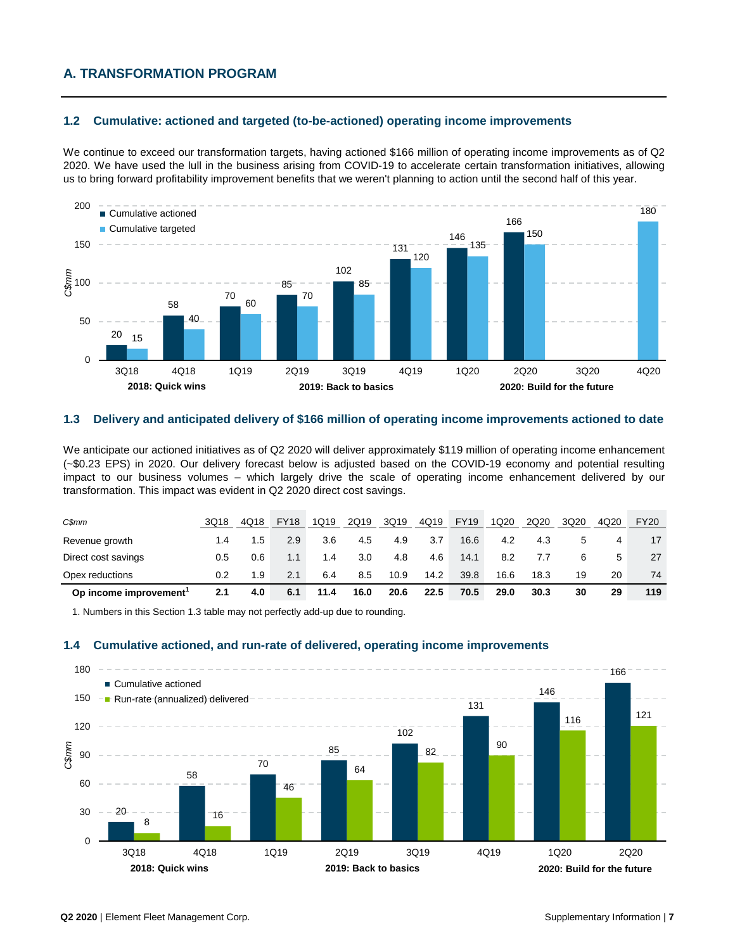# **A. TRANSFORMATION PROGRAM**

### **1.2 Cumulative: actioned and targeted (to-be-actioned) operating income improvements**

We continue to exceed our transformation targets, having actioned \$166 million of operating income improvements as of Q2 2020. We have used the lull in the business arising from COVID-19 to accelerate certain transformation initiatives, allowing us to bring forward profitability improvement benefits that we weren't planning to action until the second half of this year.



### **1.3 Delivery and anticipated delivery of \$166 million of operating income improvements actioned to date**

We anticipate our actioned initiatives as of Q2 2020 will deliver approximately \$119 million of operating income enhancement (~\$0.23 EPS) in 2020. Our delivery forecast below is adjusted based on the COVID-19 economy and potential resulting impact to our business volumes – which largely drive the scale of operating income enhancement delivered by our transformation. This impact was evident in Q2 2020 direct cost savings.

| Op income improvement          | 2.1  | 4.0  | 6.1         | 11.4 | 16.0 | 20.6 | 22.5 | 70.5        | 29.0 | 30.3      | 30   | 29   | 119         |
|--------------------------------|------|------|-------------|------|------|------|------|-------------|------|-----------|------|------|-------------|
| Opex reductions                | 0.2  | 1.9  | 2.1         | 6.4  | 8.5  | 10.9 | 14.2 | 39.8        | 16.6 | 18.3      | 19   | 20   | 74          |
| Direct cost savings            | 0.5  | 0.6  | 1.1         | 1.4  | 3.0  | 4.8  | 4.6  | 14.1        | 8.2  | $\iota$ . |      |      | 27          |
| Revenue growth                 | 1.4  | 1.5  | 2.9         | 3.6  | 4.5  | 4.9  | 3.7  | 16.6        | 4.2  | 4.3       |      |      |             |
| $C\$ <sup><math>m</math></sup> | 3Q18 | 4Q18 | <b>FY18</b> | 1Q19 | 2Q19 | 3Q19 | 4Q19 | <b>FY19</b> | 1Q20 | 2Q20      | 3Q20 | 4Q20 | <b>FY20</b> |

1. Numbers in this Section 1.3 table may not perfectly add-up due to rounding.

#### **1.4 Cumulative actioned, and run-rate of delivered, operating income improvements**

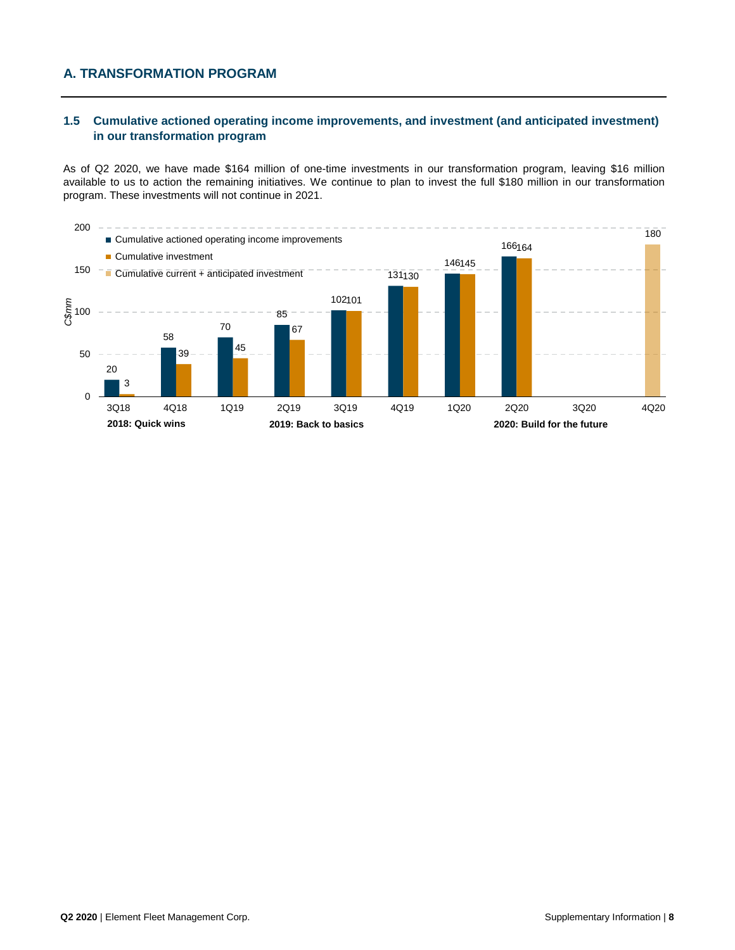# **A. TRANSFORMATION PROGRAM**

### **1.5 Cumulative actioned operating income improvements, and investment (and anticipated investment) in our transformation program**

As of Q2 2020, we have made \$164 million of one-time investments in our transformation program, leaving \$16 million available to us to action the remaining initiatives. We continue to plan to invest the full \$180 million in our transformation program. These investments will not continue in 2021.

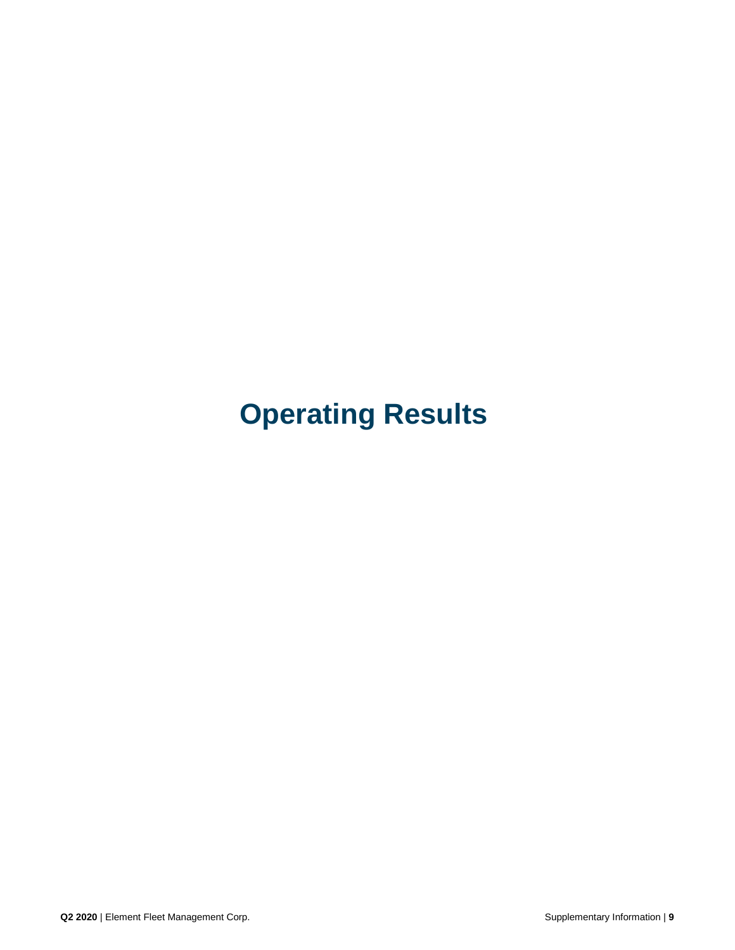# **Operating Results**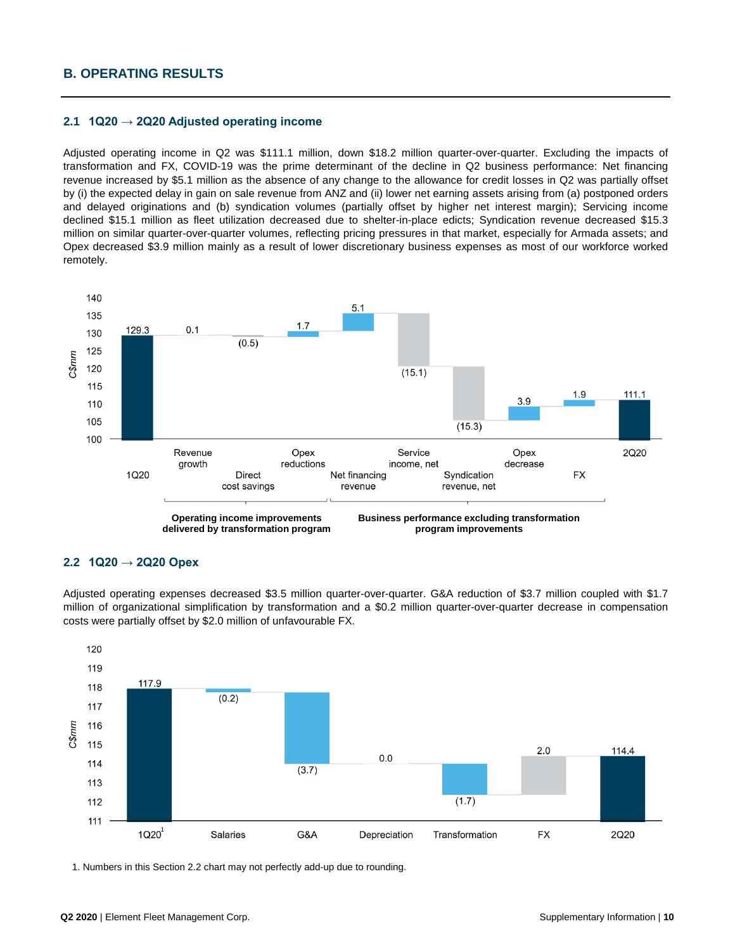# **B. OPERATING RESULTS**

### **2.1 1Q20 → 2Q20 Adjusted operating income**

Adjusted operating income in Q2 was \$111.1 million, down \$18.2 million quarter-over-quarter. Excluding the impacts of transformation and FX, COVID-19 was the prime determinant of the decline in Q2 business performance: Net financing revenue increased by \$5.1 million as the absence of any change to the allowance for credit losses in Q2 was partially offset by (i) the expected delay in gain on sale revenue from ANZ and (ii) lower net earning assets arising from (a) postponed orders and delayed originations and (b) syndication volumes (partially offset by higher net interest margin); Servicing income declined \$15.1 million as fleet utilization decreased due to shelter-in-place edicts; Syndication revenue decreased \$15.3 million on similar quarter-over-quarter volumes, reflecting pricing pressures in that market, especially for Armada assets; and Opex decreased \$3.9 million mainly as a result of lower discretionary business expenses as most of our workforce worked remotely.



### **2.2 1Q20 → 2Q20 Opex**

Adjusted operating expenses decreased \$3.5 million quarter-over-quarter. G&A reduction of \$3.7 million coupled with \$1.7 million of organizational simplification by transformation and a \$0.2 million quarter-over-quarter decrease in compensation costs were partially offset by \$2.0 million of unfavourable FX.



1. Numbers in this Section 2.2 chart may not perfectly add-up due to rounding.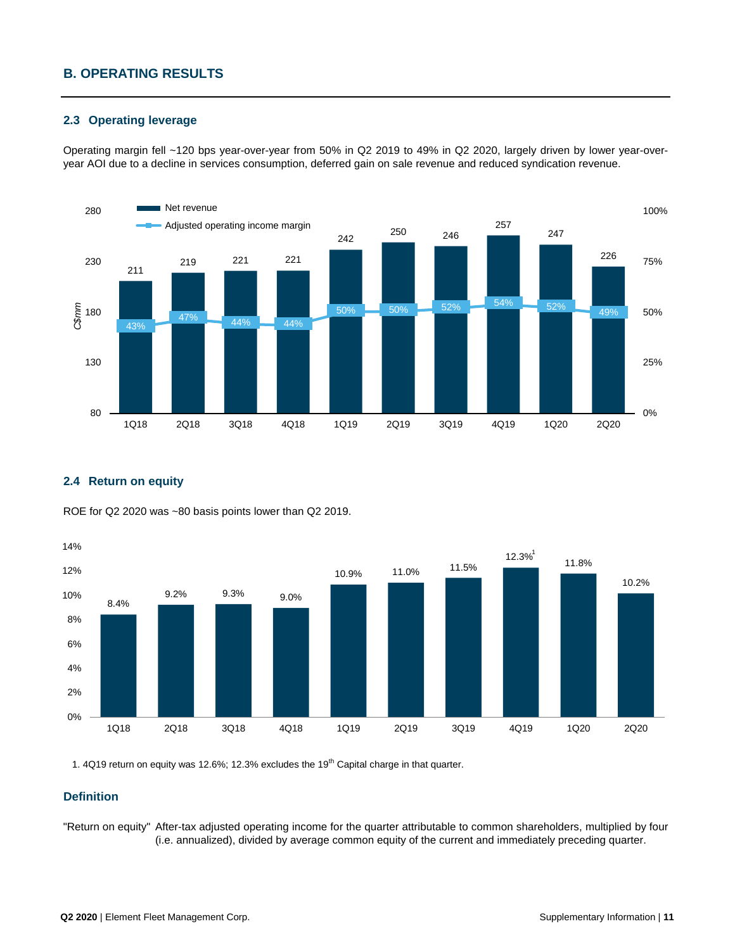# **B. OPERATING RESULTS**

### **2.3 Operating leverage**

Operating margin fell ~120 bps year-over-year from 50% in Q2 2019 to 49% in Q2 2020, largely driven by lower year-overyear AOI due to a decline in services consumption, deferred gain on sale revenue and reduced syndication revenue.



### **2.4 Return on equity**



ROE for Q2 2020 was ~80 basis points lower than Q2 2019.

1. 4Q19 return on equity was 12.6%; 12.3% excludes the 19<sup>th</sup> Capital charge in that quarter.

### **Definition**

"Return on equity" After-tax adjusted operating income for the quarter attributable to common shareholders, multiplied by four (i.e. annualized), divided by average common equity of the current and immediately preceding quarter.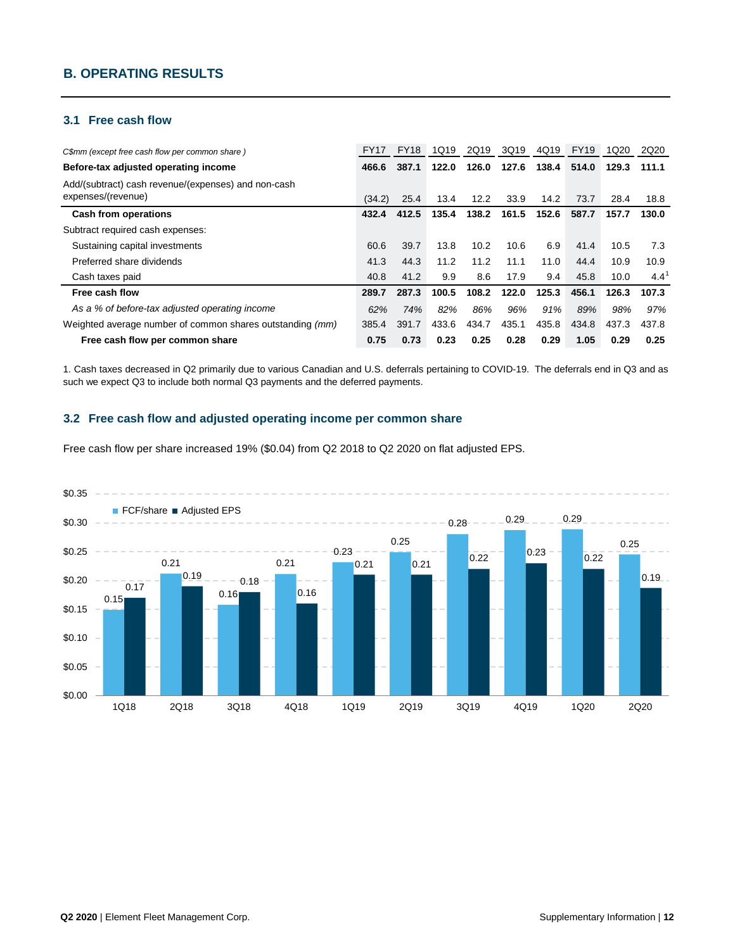# **B. OPERATING RESULTS**

### **3.1 Free cash flow**

| C\$mm (except free cash flow per common share)                            | <b>FY17</b> | <b>FY18</b> | 1Q19  | 2Q19  | 3Q19  | 4Q19  | <b>FY19</b> | 1Q20  | 2Q20  |
|---------------------------------------------------------------------------|-------------|-------------|-------|-------|-------|-------|-------------|-------|-------|
| Before-tax adjusted operating income                                      | 466.6       | 387.1       | 122.0 | 126.0 | 127.6 | 138.4 | 514.0       | 129.3 | 111.1 |
| Add/(subtract) cash revenue/(expenses) and non-cash<br>expenses/(revenue) | (34.2)      | 25.4        | 13.4  | 12.2  | 33.9  | 14.2  | 73.7        | 28.4  | 18.8  |
| <b>Cash from operations</b>                                               | 432.4       | 412.5       | 135.4 | 138.2 | 161.5 | 152.6 | 587.7       | 157.7 | 130.0 |
| Subtract required cash expenses:                                          |             |             |       |       |       |       |             |       |       |
| Sustaining capital investments                                            | 60.6        | 39.7        | 13.8  | 10.2  | 10.6  | 6.9   | 41.4        | 10.5  | 7.3   |
| Preferred share dividends                                                 | 41.3        | 44.3        | 11.2  | 11.2  | 11.1  | 11.0  | 44.4        | 10.9  | 10.9  |
| Cash taxes paid                                                           | 40.8        | 41.2        | 9.9   | 8.6   | 17.9  | 9.4   | 45.8        | 10.0  | 4.4   |
| Free cash flow                                                            | 289.7       | 287.3       | 100.5 | 108.2 | 122.0 | 125.3 | 456.1       | 126.3 | 107.3 |
| As a % of before-tax adjusted operating income                            | 62%         | 74%         | 82%   | 86%   | 96%   | 91%   | 89%         | 98%   | 97%   |
| Weighted average number of common shares outstanding (mm)                 | 385.4       | 391.7       | 433.6 | 434.7 | 435.1 | 435.8 | 434.8       | 437.3 | 437.8 |
| Free cash flow per common share                                           | 0.75        | 0.73        | 0.23  | 0.25  | 0.28  | 0.29  | 1.05        | 0.29  | 0.25  |

1. Cash taxes decreased in Q2 primarily due to various Canadian and U.S. deferrals pertaining to COVID-19. The deferrals end in Q3 and as such we expect Q3 to include both normal Q3 payments and the deferred payments.

### **3.2 Free cash flow and adjusted operating income per common share**

Free cash flow per share increased 19% (\$0.04) from Q2 2018 to Q2 2020 on flat adjusted EPS.

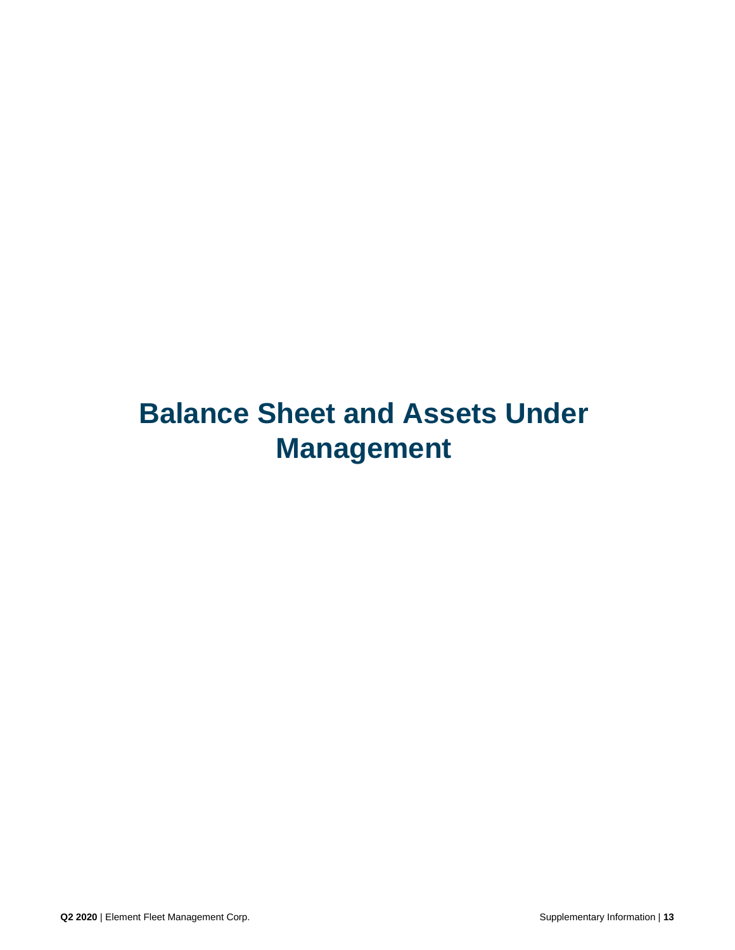# **Balance Sheet and Assets Under Management**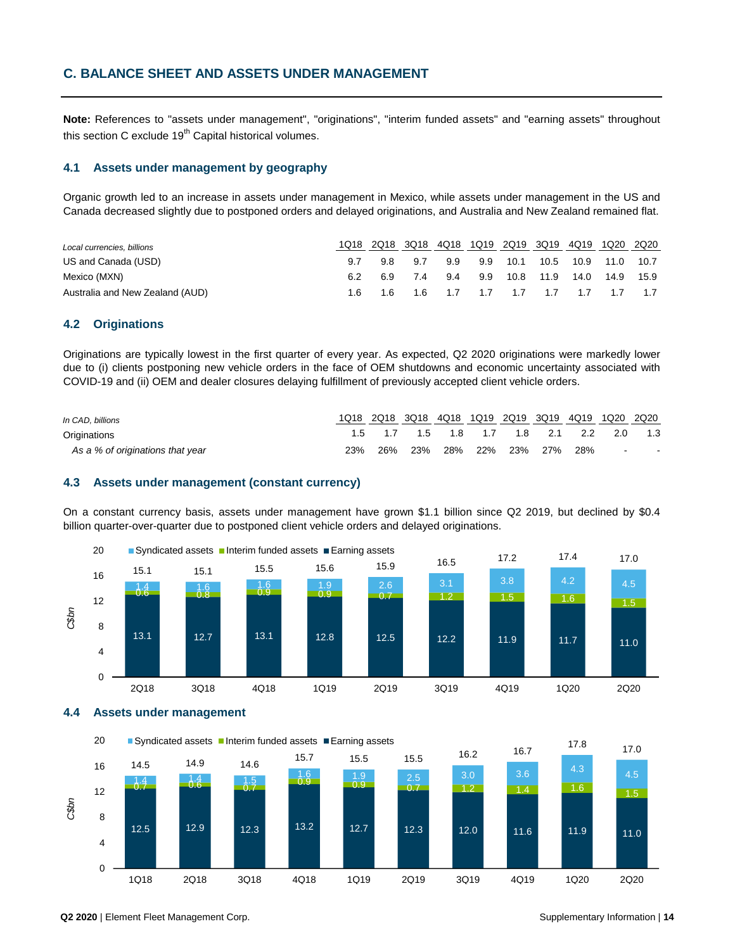**Note:** References to "assets under management", "originations", "interim funded assets" and "earning assets" throughout this section C exclude  $19<sup>th</sup>$  Capital historical volumes.

#### **4.1 Assets under management by geography**

Organic growth led to an increase in assets under management in Mexico, while assets under management in the US and Canada decreased slightly due to postponed orders and delayed originations, and Australia and New Zealand remained flat.

| Local currencies, billions      | 1018 | 2Q18 3Q18 |         | 4Q18 1Q19 2Q19 3Q19 4Q19 1Q20 2Q20      |          |      |                |  |
|---------------------------------|------|-----------|---------|-----------------------------------------|----------|------|----------------|--|
| US and Canada (USD)             |      |           | 98 97   | 9.9                                     | 9.9 10.1 | 10.5 | 10.9 11.0 10.7 |  |
| Mexico (MXN)                    |      |           | 6.9 7.4 | 9.4 9.9 10.8 11.9 14.0 14.9 15.9        |          |      |                |  |
| Australia and New Zealand (AUD) |      |           |         | 1.6 1.6 1.6 1.7 1.7 1.7 1.7 1.7 1.7 1.7 |          |      |                |  |

### **4.2 Originations**

Originations are typically lowest in the first quarter of every year. As expected, Q2 2020 originations were markedly lower due to (i) clients postponing new vehicle orders in the face of OEM shutdowns and economic uncertainty associated with COVID-19 and (ii) OEM and dealer closures delaying fulfillment of previously accepted client vehicle orders.

| In CAD, billions                 |     |     |     |  |  |                                     | 1Q18 2Q18 3Q18 4Q18 1Q19 2Q19 3Q19 4Q19 1Q20 2Q20 |
|----------------------------------|-----|-----|-----|--|--|-------------------------------------|---------------------------------------------------|
| Originations                     |     |     |     |  |  | 1.5 1.7 1.5 1.8 1.7 1.8 2.1 2.2 2.0 | 1.3                                               |
| As a % of originations that year | 23% | 26% | 23% |  |  | 28% 22% 23% 27% 28%                 | the contract of the                               |

### **4.3 Assets under management (constant currency)**

On a constant currency basis, assets under management have grown \$1.1 billion since Q2 2019, but declined by \$0.4 billion quarter-over-quarter due to postponed client vehicle orders and delayed originations.



**4.4 Assets under management**

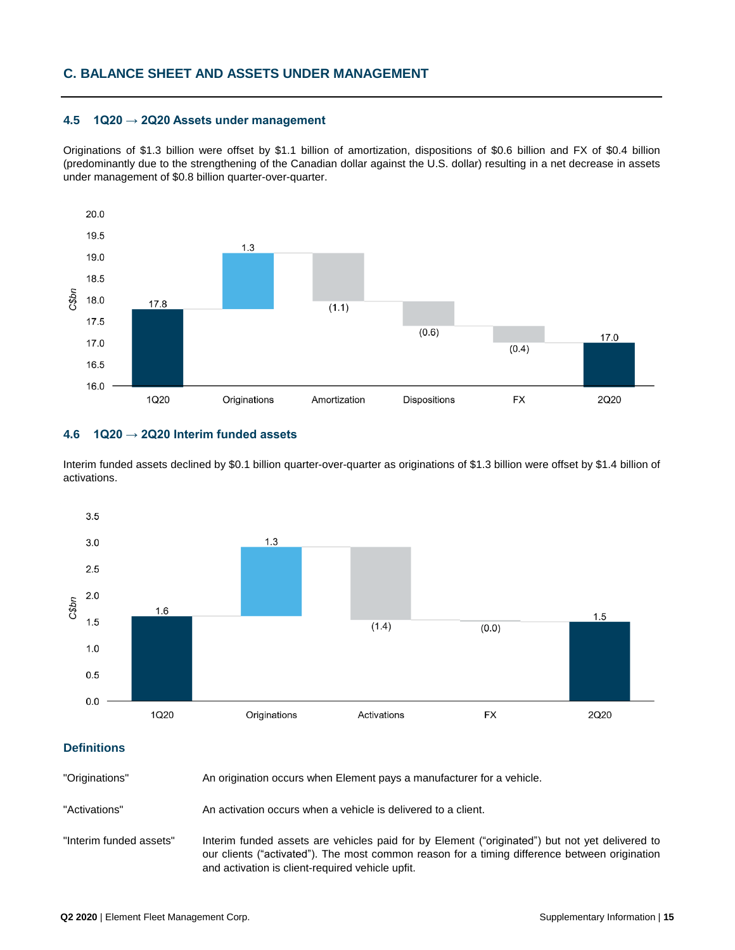### **4.5 1Q20 → 2Q20 Assets under management**

Originations of \$1.3 billion were offset by \$1.1 billion of amortization, dispositions of \$0.6 billion and FX of \$0.4 billion (predominantly due to the strengthening of the Canadian dollar against the U.S. dollar) resulting in a net decrease in assets under management of \$0.8 billion quarter-over-quarter.



### **4.6 1Q20 → 2Q20 Interim funded assets**

Interim funded assets declined by \$0.1 billion quarter-over-quarter as originations of \$1.3 billion were offset by \$1.4 billion of activations.



### **Definitions**

"Originations" An origination occurs when Element pays a manufacturer for a vehicle.

"Activations" An activation occurs when a vehicle is delivered to a client.

"Interim funded assets" Interim funded assets are vehicles paid for by Element ("originated") but not yet delivered to our clients ("activated"). The most common reason for a timing difference between origination and activation is client-required vehicle upfit.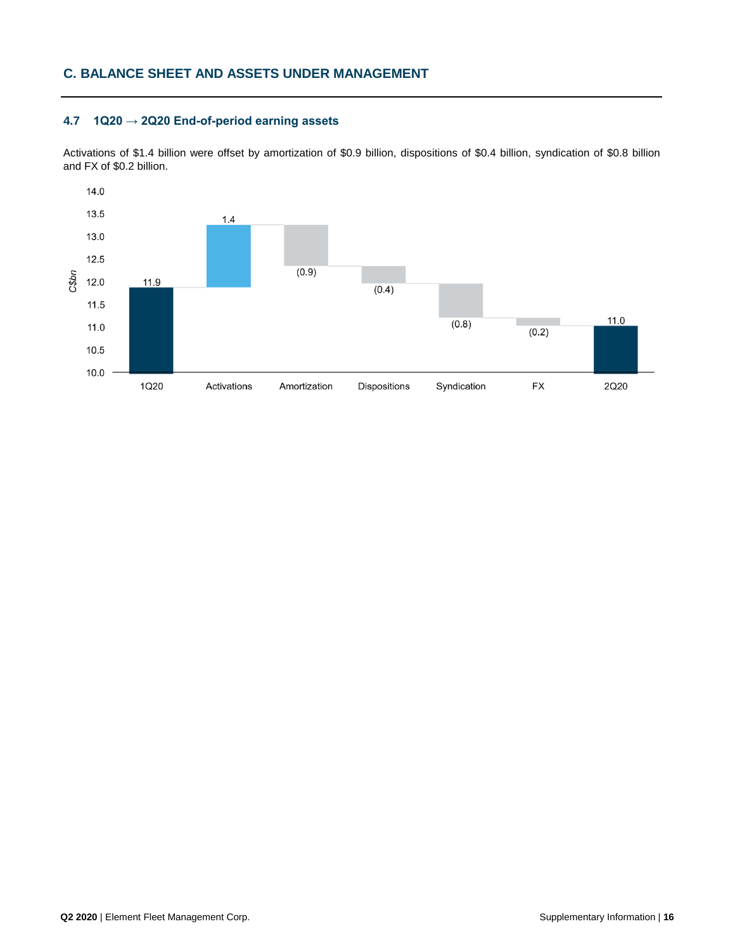### **4.7 1Q20 → 2Q20 End-of-period earning assets**

Activations of \$1.4 billion were offset by amortization of \$0.9 billion, dispositions of \$0.4 billion, syndication of \$0.8 billion and FX of \$0.2 billion.

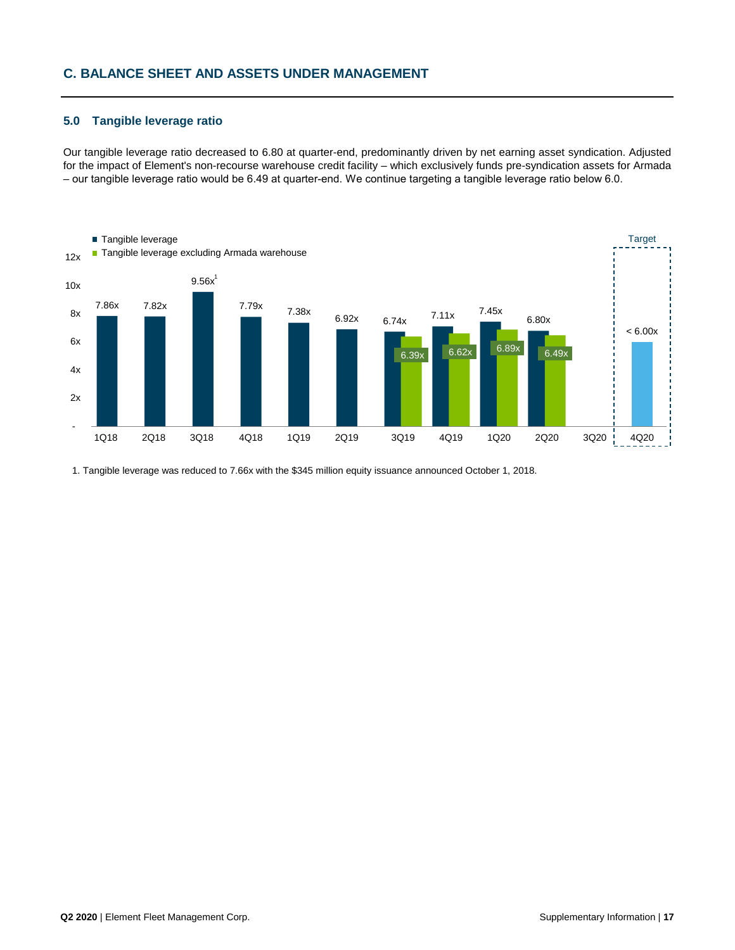### **5.0 Tangible leverage ratio**

Our tangible leverage ratio decreased to 6.80 at quarter-end, predominantly driven by net earning asset syndication. Adjusted for the impact of Element's non-recourse warehouse credit facility – which exclusively funds pre-syndication assets for Armada – our tangible leverage ratio would be 6.49 at quarter-end. We continue targeting a tangible leverage ratio below 6.0.



1. Tangible leverage was reduced to 7.66x with the \$345 million equity issuance announced October 1, 2018.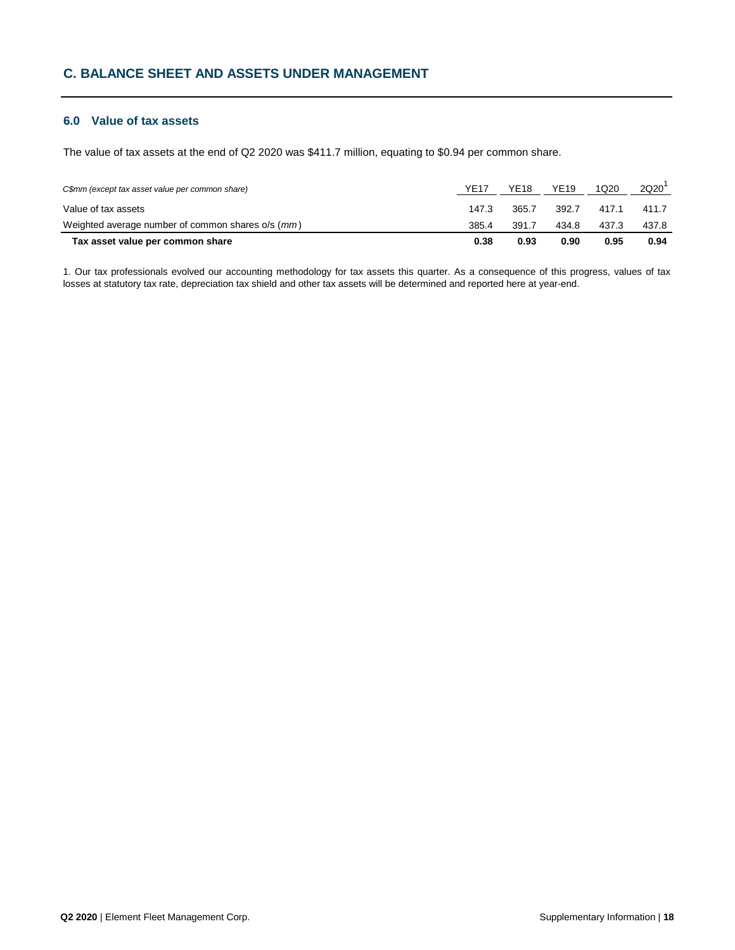# **6.0 Value of tax assets**

The value of tax assets at the end of Q2 2020 was \$411.7 million, equating to \$0.94 per common share.

| C\$mm (except tax asset value per common share)   | <b>YE17</b> | YE18  | <b>YE19</b> | 1Q20  | 2Q20  |
|---------------------------------------------------|-------------|-------|-------------|-------|-------|
| Value of tax assets                               | 147.3       | 365.7 | 392.7       | 417.1 | 411.7 |
| Weighted average number of common shares o/s (mm) | 385.4       | 391.7 | 434.8       | 437.3 | 437.8 |
| Tax asset value per common share                  | 0.38        | 0.93  | 0.90        | 0.95  | 0.94  |

1. Our tax professionals evolved our accounting methodology for tax assets this quarter. As a consequence of this progress, values of tax losses at statutory tax rate, depreciation tax shield and other tax assets will be determined and reported here at year-end.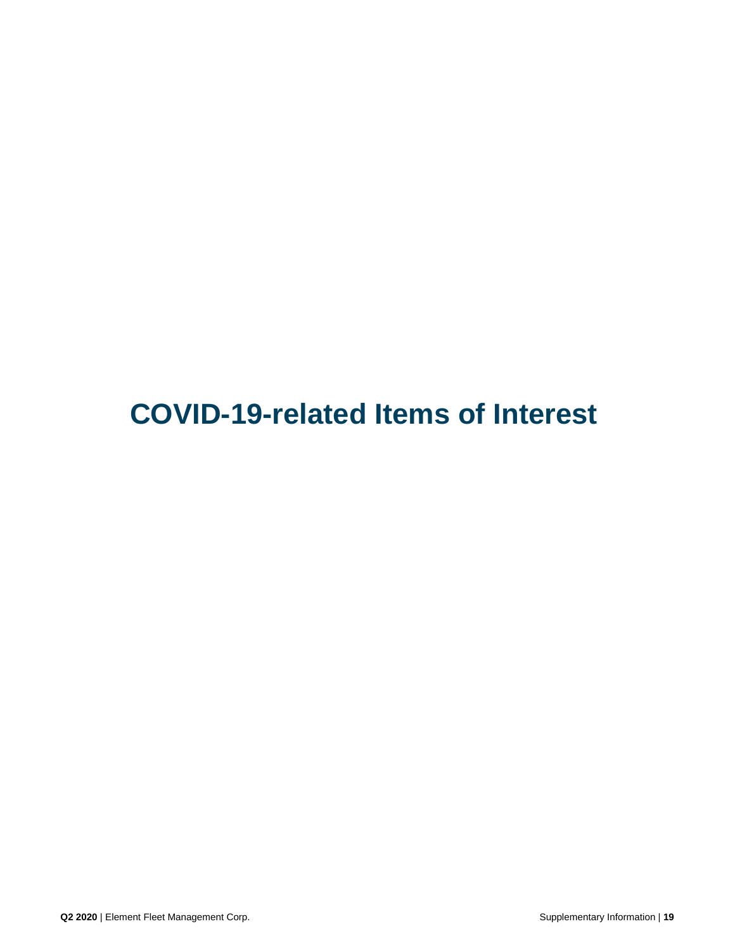**COVID-19-related Items of Interest**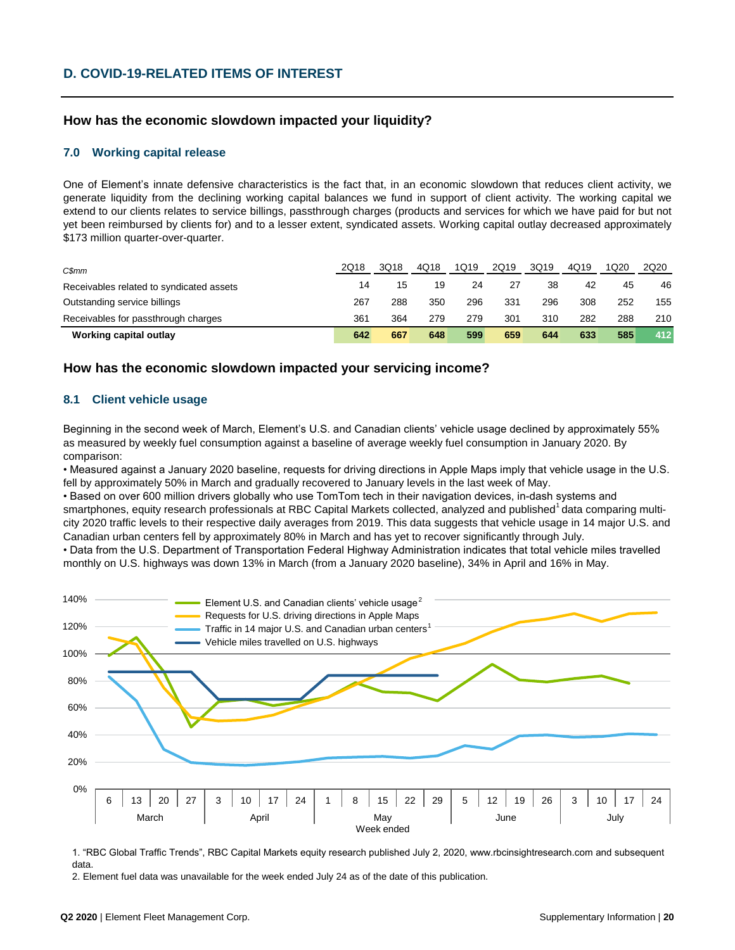# **How has the economic slowdown impacted your liquidity?**

### **7.0 Working capital release**

One of Element's innate defensive characteristics is the fact that, in an economic slowdown that reduces client activity, we generate liquidity from the declining working capital balances we fund in support of client activity. The working capital we extend to our clients relates to service billings, passthrough charges (products and services for which we have paid for but not yet been reimbursed by clients for) and to a lesser extent, syndicated assets. Working capital outlay decreased approximately \$173 million quarter-over-quarter.

| C\$mm                                    | 2Q18 | 3Q18 | 4Q18 | 1Q19 | 2Q19 | 3Q19 | 4Q19 | 1Q20 | 2Q20 |
|------------------------------------------|------|------|------|------|------|------|------|------|------|
| Receivables related to syndicated assets | 14   | 15   | 19   | 24   | 27   | 38   | 42   | 45   | 46   |
| Outstanding service billings             | 267  | 288  | 350  | 296  | 331  | 296  | 308  | 252  | 155  |
| Receivables for passthrough charges      | 361  | 364  | 279  | 279  | 301  | 310  | 282  | 288  | 210  |
| Working capital outlay                   | 642  | 667  | 648  | 599  | 659  | 644  | 633  | 585  | 412  |

### **How has the economic slowdown impacted your servicing income?**

### **8.1 Client vehicle usage**

Beginning in the second week of March, Element's U.S. and Canadian clients' vehicle usage declined by approximately 55% as measured by weekly fuel consumption against a baseline of average weekly fuel consumption in January 2020. By comparison:

• Measured against a January 2020 baseline, requests for driving directions in Apple Maps imply that vehicle usage in the U.S. fell by approximately 50% in March and gradually recovered to January levels in the last week of May.

• Based on over 600 million drivers globally who use TomTom tech in their navigation devices, in-dash systems and smartphones, equity research professionals at RBC Capital Markets collected, analyzed and published  $^1$ data comparing multicity 2020 traffic levels to their respective daily averages from 2019. This data suggests that vehicle usage in 14 major U.S. and Canadian urban centers fell by approximately 80% in March and has yet to recover significantly through July.

• Data from the U.S. Department of Transportation Federal Highway Administration indicates that total vehicle miles travelled monthly on U.S. highways was down 13% in March (from a January 2020 baseline), 34% in April and 16% in May.



1. "RBC Global Traffic Trends", RBC Capital Markets equity research published July 2, 2020, www.rbcinsightresearch.com and subsequent data.

2. Element fuel data was unavailable for the week ended July 24 as of the date of this publication.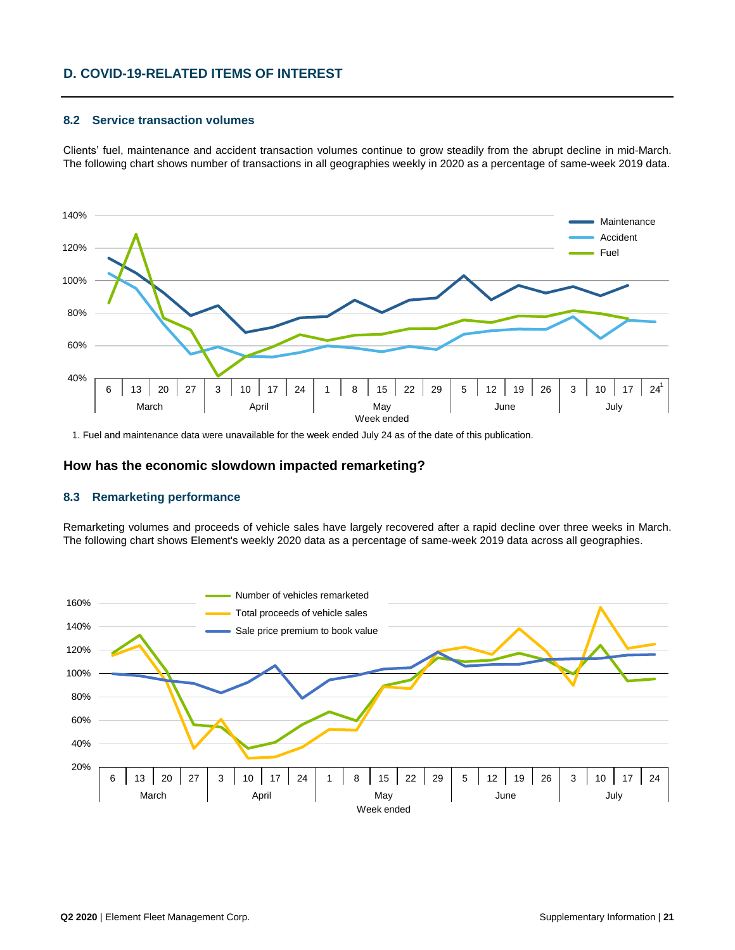# **D. COVID-19-RELATED ITEMS OF INTEREST**

### **8.2 Service transaction volumes**

Clients' fuel, maintenance and accident transaction volumes continue to grow steadily from the abrupt decline in mid-March. The following chart shows number of transactions in all geographies weekly in 2020 as a percentage of same-week 2019 data.



1. Fuel and maintenance data were unavailable for the week ended July 24 as of the date of this publication.

### **How has the economic slowdown impacted remarketing?**

### **8.3 Remarketing performance**

Remarketing volumes and proceeds of vehicle sales have largely recovered after a rapid decline over three weeks in March. The following chart shows Element's weekly 2020 data as a percentage of same-week 2019 data across all geographies.

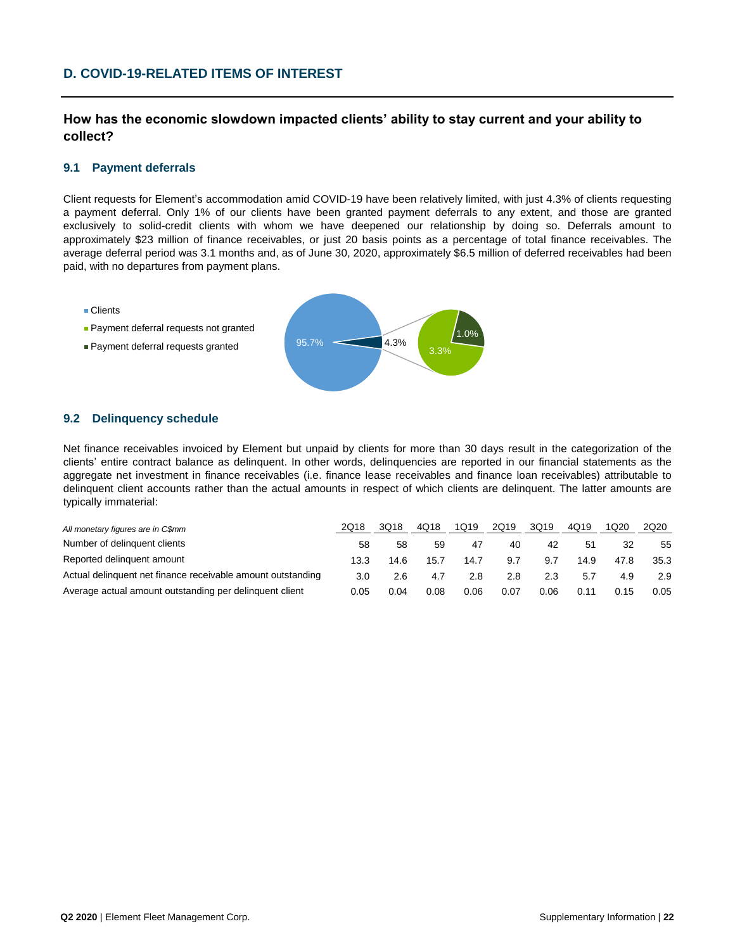# **D. COVID-19-RELATED ITEMS OF INTEREST**

**How has the economic slowdown impacted clients' ability to stay current and your ability to collect?**

### **9.1 Payment deferrals**

Client requests for Element's accommodation amid COVID-19 have been relatively limited, with just 4.3% of clients requesting a payment deferral. Only 1% of our clients have been granted payment deferrals to any extent, and those are granted exclusively to solid-credit clients with whom we have deepened our relationship by doing so. Deferrals amount to approximately \$23 million of finance receivables, or just 20 basis points as a percentage of total finance receivables. The average deferral period was 3.1 months and, as of June 30, 2020, approximately \$6.5 million of deferred receivables had been paid, with no departures from payment plans.

- Clients
- **Payment deferral requests not granted**
- **Payment deferral requests granted**



### **9.2 Delinquency schedule**

Net finance receivables invoiced by Element but unpaid by clients for more than 30 days result in the categorization of the clients' entire contract balance as delinquent. In other words, delinquencies are reported in our financial statements as the aggregate net investment in finance receivables (i.e. finance lease receivables and finance loan receivables) attributable to delinquent client accounts rather than the actual amounts in respect of which clients are delinquent. The latter amounts are typically immaterial:

| All monetary figures are in C\$mm                           | 2018 | 3Q18 | 4Q18 | 1Q19 | 2Q19 | 3Q19 | 4Q19 | 1Q20 | 2Q20 |
|-------------------------------------------------------------|------|------|------|------|------|------|------|------|------|
| Number of delinguent clients                                | 58   | .58  | 59   | 47   | 40   | 42   | -51  | 32   | 55   |
| Reported delinguent amount                                  | 13.3 | 14.6 | 15.7 | 14.7 | 9.7  | 9.7  | 14.9 | 47.8 | 35.3 |
| Actual delinguent net finance receivable amount outstanding | 3.0  | 2.6  | 4.7  | 2.8  | 2.8  | 2.3  | 5.7  | 4.9  | 2.9  |
| Average actual amount outstanding per delinguent client     | 0.05 | 0.04 | 0.08 | 0.06 | 0.07 | 0.06 | 0.11 | 0.15 | 0.05 |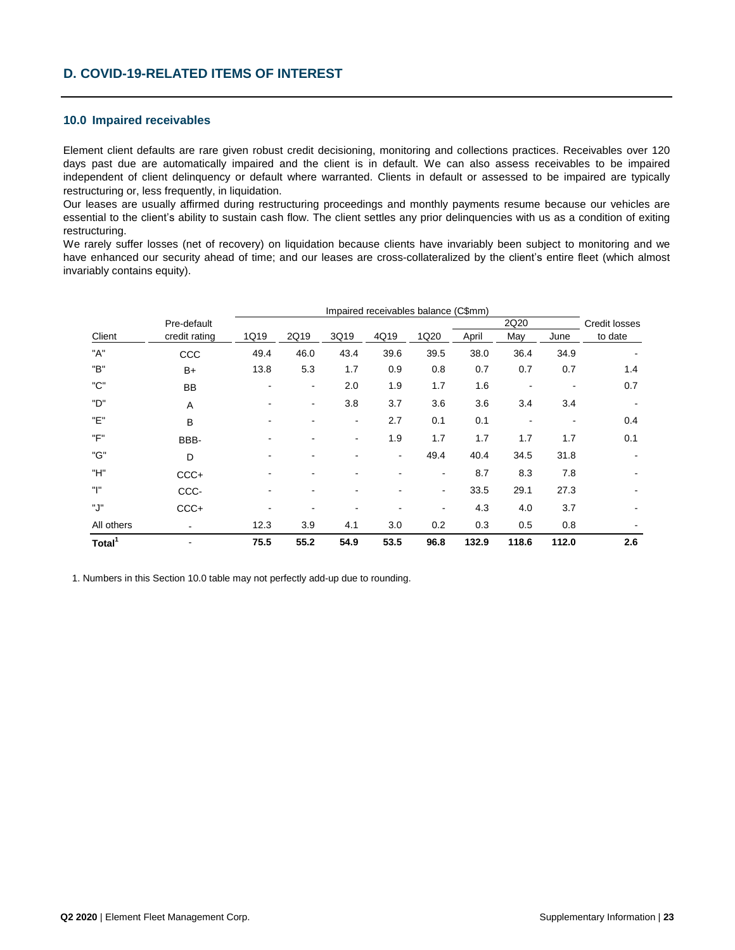### **10.0 Impaired receivables**

Element client defaults are rare given robust credit decisioning, monitoring and collections practices. Receivables over 120 days past due are automatically impaired and the client is in default. We can also assess receivables to be impaired independent of client delinquency or default where warranted. Clients in default or assessed to be impaired are typically restructuring or, less frequently, in liquidation.

Our leases are usually affirmed during restructuring proceedings and monthly payments resume because our vehicles are essential to the client's ability to sustain cash flow. The client settles any prior delinquencies with us as a condition of exiting restructuring.

We rarely suffer losses (net of recovery) on liquidation because clients have invariably been subject to monitoring and we have enhanced our security ahead of time; and our leases are cross-collateralized by the client's entire fleet (which almost invariably contains equity).

|                    |                | Impaired receivables balance (C\$mm) |                |                          |      |      |       |       |       |                      |  |  |
|--------------------|----------------|--------------------------------------|----------------|--------------------------|------|------|-------|-------|-------|----------------------|--|--|
|                    | Pre-default    |                                      |                |                          |      |      |       | 2Q20  |       | <b>Credit losses</b> |  |  |
| Client             | credit rating  | 1Q19                                 | 2Q19           | 3Q19                     | 4Q19 | 1Q20 | April | May   | June  | to date              |  |  |
| "A"                | CCC            | 49.4                                 | 46.0           | 43.4                     | 39.6 | 39.5 | 38.0  | 36.4  | 34.9  |                      |  |  |
| "B"                | $B+$           | 13.8                                 | 5.3            | 1.7                      | 0.9  | 0.8  | 0.7   | 0.7   | 0.7   | 1.4                  |  |  |
| "C"                | <b>BB</b>      |                                      | $\blacksquare$ | 2.0                      | 1.9  | 1.7  | 1.6   | $\,$  |       | 0.7                  |  |  |
| "D"                | $\overline{A}$ |                                      | ۰              | 3.8                      | 3.7  | 3.6  | 3.6   | 3.4   | 3.4   |                      |  |  |
| "F"                | $\overline{B}$ |                                      |                | $\overline{\phantom{a}}$ | 2.7  | 0.1  | 0.1   |       |       | 0.4                  |  |  |
| "F"                | BBB-           |                                      |                | $\overline{\phantom{a}}$ | 1.9  | 1.7  | 1.7   | 1.7   | 1.7   | 0.1                  |  |  |
| "G"                | D              |                                      |                |                          | ٠    | 49.4 | 40.4  | 34.5  | 31.8  |                      |  |  |
| "H"                | $CCC +$        |                                      |                |                          |      | ٠    | 8.7   | 8.3   | 7.8   |                      |  |  |
| "ו"                | CCC-           |                                      |                |                          |      | ٠    | 33.5  | 29.1  | 27.3  |                      |  |  |
| ".J"               | $CCC +$        |                                      |                |                          |      |      | 4.3   | 4.0   | 3.7   |                      |  |  |
| All others         | ٠              | 12.3                                 | 3.9            | 4.1                      | 3.0  | 0.2  | 0.3   | 0.5   | 0.8   |                      |  |  |
| Total <sup>1</sup> |                | 75.5                                 | 55.2           | 54.9                     | 53.5 | 96.8 | 132.9 | 118.6 | 112.0 | 2.6                  |  |  |

1. Numbers in this Section 10.0 table may not perfectly add-up due to rounding.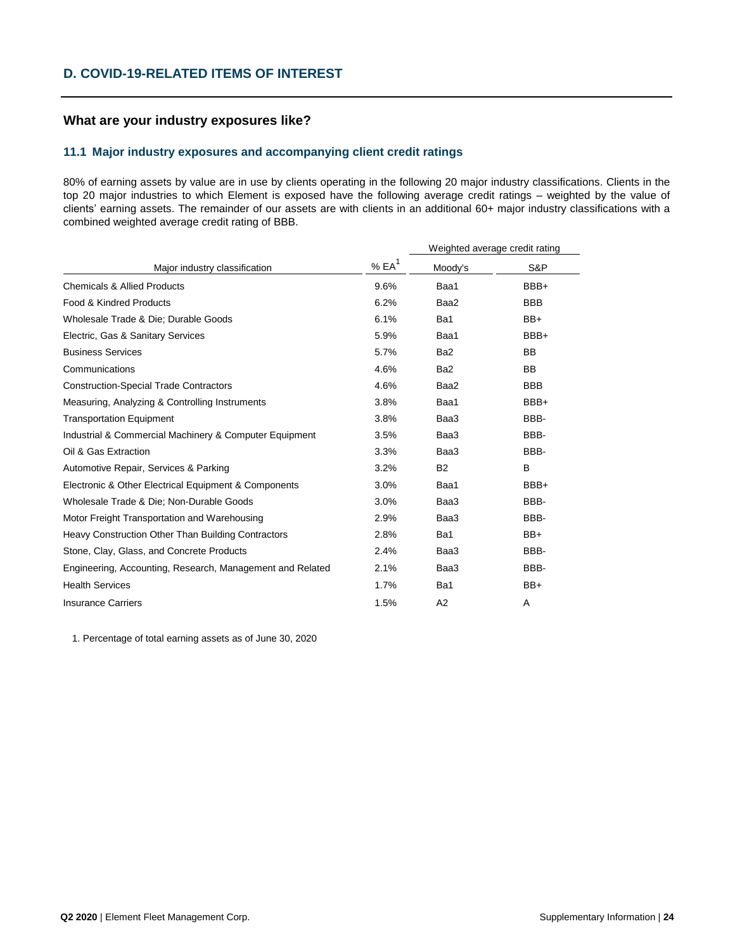### **What are your industry exposures like?**

### **11.1 Major industry exposures and accompanying client credit ratings**

80% of earning assets by value are in use by clients operating in the following 20 major industry classifications. Clients in the top 20 major industries to which Element is exposed have the following average credit ratings – weighted by the value of clients' earning assets. The remainder of our assets are with clients in an additional 60+ major industry classifications with a combined weighted average credit rating of BBB.

|                                                           |                    | Weighted average credit rating |            |  |  |
|-----------------------------------------------------------|--------------------|--------------------------------|------------|--|--|
| Major industry classification                             | $%EA$ <sup>1</sup> | Moody's                        | S&P        |  |  |
| <b>Chemicals &amp; Allied Products</b>                    | 9.6%               | Baa1                           | BBB+       |  |  |
| Food & Kindred Products                                   | 6.2%               | Baa2                           | <b>BBB</b> |  |  |
| Wholesale Trade & Die; Durable Goods                      | 6.1%               | Ba1                            | $BB+$      |  |  |
| Electric, Gas & Sanitary Services                         | 5.9%               | Baa1                           | BBB+       |  |  |
| <b>Business Services</b>                                  | 5.7%               | Ba <sub>2</sub>                | <b>BB</b>  |  |  |
| Communications                                            | 4.6%               | Ba <sub>2</sub>                | <b>BB</b>  |  |  |
| <b>Construction-Special Trade Contractors</b>             | 4.6%               | Baa2                           | <b>BBB</b> |  |  |
| Measuring, Analyzing & Controlling Instruments            | 3.8%               | Baa1                           | BBB+       |  |  |
| <b>Transportation Equipment</b>                           | 3.8%               | Baa3                           | BBB-       |  |  |
| Industrial & Commercial Machinery & Computer Equipment    | 3.5%               | Baa3                           | BBB-       |  |  |
| Oil & Gas Extraction                                      | 3.3%               | Baa3                           | BBB-       |  |  |
| Automotive Repair, Services & Parking                     | 3.2%               | <b>B2</b>                      | B          |  |  |
| Electronic & Other Electrical Equipment & Components      | 3.0%               | Baa1                           | BBB+       |  |  |
| Wholesale Trade & Die: Non-Durable Goods                  | 3.0%               | Baa3                           | BBB-       |  |  |
| Motor Freight Transportation and Warehousing              | 2.9%               | Baa3                           | BBB-       |  |  |
| Heavy Construction Other Than Building Contractors        | 2.8%               | Ba1                            | BB+        |  |  |
| Stone, Clay, Glass, and Concrete Products                 | 2.4%               | Baa3                           | BBB-       |  |  |
| Engineering, Accounting, Research, Management and Related | 2.1%               | Baa3                           | BBB-       |  |  |
| <b>Health Services</b>                                    | 1.7%               | Ba1                            | $BB+$      |  |  |
| <b>Insurance Carriers</b>                                 | 1.5%               | A2                             | A          |  |  |

1. Percentage of total earning assets as of June 30, 2020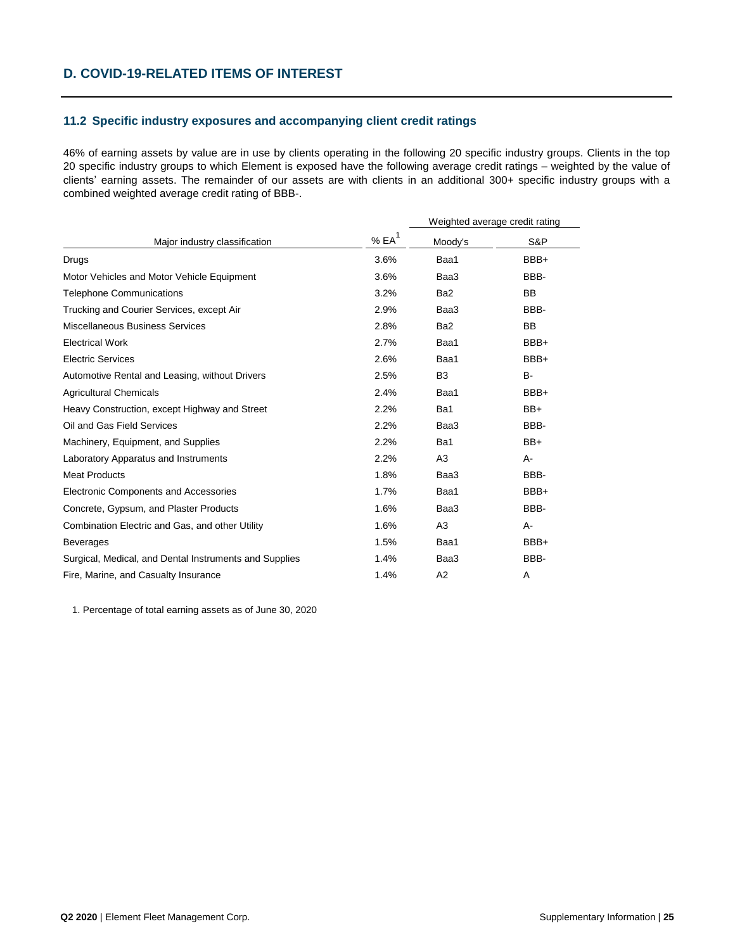### **11.2 Specific industry exposures and accompanying client credit ratings**

46% of earning assets by value are in use by clients operating in the following 20 specific industry groups. Clients in the top 20 specific industry groups to which Element is exposed have the following average credit ratings – weighted by the value of clients' earning assets. The remainder of our assets are with clients in an additional 300+ specific industry groups with a combined weighted average credit rating of BBB-.

|                                                        |          | Weighted average credit rating |           |
|--------------------------------------------------------|----------|--------------------------------|-----------|
| Major industry classification                          | % $EA^1$ | Moody's                        | S&P       |
| Drugs                                                  | 3.6%     | Baa1                           | BBB+      |
| Motor Vehicles and Motor Vehicle Equipment             | 3.6%     | Baa3                           | BBB-      |
| <b>Telephone Communications</b>                        | 3.2%     | Ba <sub>2</sub>                | <b>BB</b> |
| Trucking and Courier Services, except Air              | 2.9%     | Baa3                           | BBB-      |
| Miscellaneous Business Services                        | 2.8%     | Ba <sub>2</sub>                | <b>BB</b> |
| <b>Electrical Work</b>                                 | 2.7%     | Baa1                           | BBB+      |
| <b>Electric Services</b>                               | 2.6%     | Baa1                           | BBB+      |
| Automotive Rental and Leasing, without Drivers         | 2.5%     | B <sub>3</sub>                 | B-        |
| <b>Agricultural Chemicals</b>                          | 2.4%     | Baa1                           | BBB+      |
| Heavy Construction, except Highway and Street          | 2.2%     | Ba1                            | $BB+$     |
| Oil and Gas Field Services                             | 2.2%     | Baa3                           | BBB-      |
| Machinery, Equipment, and Supplies                     | 2.2%     | Ba1                            | BB+       |
| Laboratory Apparatus and Instruments                   | 2.2%     | A3                             | A-        |
| <b>Meat Products</b>                                   | 1.8%     | Baa3                           | BBB-      |
| Electronic Components and Accessories                  | 1.7%     | Baa1                           | BBB+      |
| Concrete, Gypsum, and Plaster Products                 | 1.6%     | Baa3                           | BBB-      |
| Combination Electric and Gas, and other Utility        | 1.6%     | A <sub>3</sub>                 | A-        |
| <b>Beverages</b>                                       | 1.5%     | Baa1                           | BBB+      |
| Surgical, Medical, and Dental Instruments and Supplies | 1.4%     | Baa3                           | BBB-      |
| Fire, Marine, and Casualty Insurance                   | 1.4%     | A <sub>2</sub>                 | A         |

1. Percentage of total earning assets as of June 30, 2020